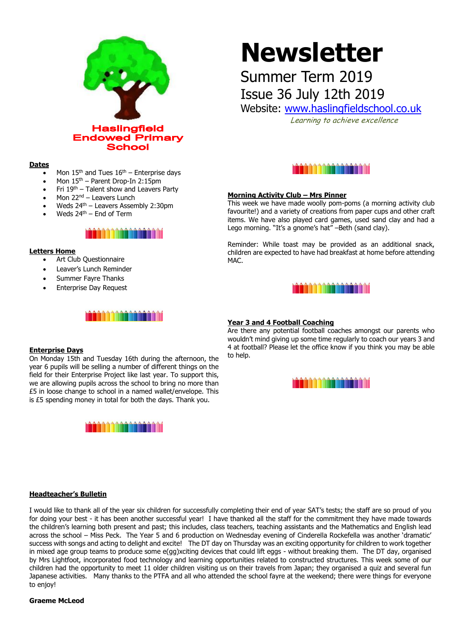

#### **Dates**

- Mon  $15<sup>th</sup>$  and Tues  $16<sup>th</sup>$  Enterprise days
- Mon 15th Parent Drop-In 2:15pm
- Fri 19th Talent show and Leavers Party
- Mon 22<sup>nd</sup> Leavers Lunch
- Weds 24<sup>th</sup> Leavers Assembly 2:30pm
- Weds  $24<sup>th</sup>$  End of Term



#### **Letters Home**

- Art Club Questionnaire
- Leaver's Lunch Reminder
- Summer Fayre Thanks
- Enterprise Day Request

## ia ann an an an an an

#### **Enterprise Days**

On Monday 15th and Tuesday 16th during the afternoon, the year 6 pupils will be selling a number of different things on the field for their Enterprise Project like last year. To support this, we are allowing pupils across the school to bring no more than £5 in loose change to school in a named wallet/envelope. This is £5 spending money in total for both the days. Thank you.



# **Newsletter**

Summer Term 2019 Issue 36 July 12th 2019

Website: [www.haslingfieldschool.co.uk](http://www.haslingfieldschool.co.uk/)

Learning to achieve excellence



### **Morning Activity Club – Mrs Pinner**

This week we have made woolly pom-poms (a morning activity club favourite!) and a variety of creations from paper cups and other craft items. We have also played card games, used sand clay and had a Lego morning. "It's a gnome's hat" –Beth (sand clay).

Reminder: While toast may be provided as an additional snack, children are expected to have had breakfast at home before attending MAC.



#### **Year 3 and 4 Football Coaching**

Are there any potential football coaches amongst our parents who wouldn't mind giving up some time regularly to coach our years 3 and 4 at football? Please let the office know if you think you may be able to help.



#### **Headteacher's Bulletin**

I would like to thank all of the year six children for successfully completing their end of year SAT's tests; the staff are so proud of you for doing your best - it has been another successful year! I have thanked all the staff for the commitment they have made towards the children's learning both present and past; this includes, class teachers, teaching assistants and the Mathematics and English lead across the school – Miss Peck. The Year 5 and 6 production on Wednesday evening of Cinderella Rockefella was another 'dramatic' success with songs and acting to delight and excite! The DT day on Thursday was an exciting opportunity for children to work together in mixed age group teams to produce some e(gg)xciting devices that could lift eggs - without breaking them. The DT day, organised by Mrs Lightfoot, incorporated food technology and learning opportunities related to constructed structures. This week some of our children had the opportunity to meet 11 older children visiting us on their travels from Japan; they organised a quiz and several fun Japanese activities. Many thanks to the PTFA and all who attended the school fayre at the weekend; there were things for everyone to enjoy!

#### **Graeme McLeod**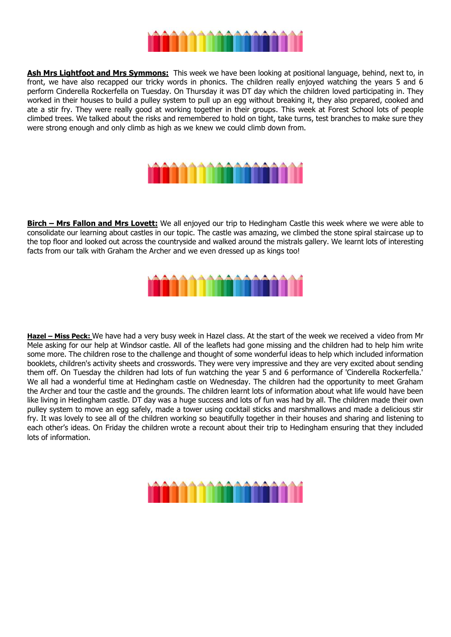

**Ash Mrs Lightfoot and Mrs Symmons:** This week we have been looking at positional language, behind, next to, in front, we have also recapped our tricky words in phonics. The children really enjoyed watching the years 5 and 6 perform Cinderella Rockerfella on Tuesday. On Thursday it was DT day which the children loved participating in. They worked in their houses to build a pulley system to pull up an egg without breaking it, they also prepared, cooked and ate a stir fry. They were really good at working together in their groups. This week at Forest School lots of people climbed trees. We talked about the risks and remembered to hold on tight, take turns, test branches to make sure they were strong enough and only climb as high as we knew we could climb down from.



**Birch – Mrs Fallon and Mrs Lovett:** We all enjoyed our trip to Hedingham Castle this week where we were able to consolidate our learning about castles in our topic. The castle was amazing, we climbed the stone spiral staircase up to the top floor and looked out across the countryside and walked around the mistrals gallery. We learnt lots of interesting facts from our talk with Graham the Archer and we even dressed up as kings too!



Hazel - Miss Peck: We have had a very busy week in Hazel class. At the start of the week we received a video from Mr Mele asking for our help at Windsor castle. All of the leaflets had gone missing and the children had to help him write some more. The children rose to the challenge and thought of some wonderful ideas to help which included information booklets, children's activity sheets and crosswords. They were very impressive and they are very excited about sending them off. On Tuesday the children had lots of fun watching the year 5 and 6 performance of 'Cinderella Rockerfella.' We all had a wonderful time at Hedingham castle on Wednesday. The children had the opportunity to meet Graham the Archer and tour the castle and the grounds. The children learnt lots of information about what life would have been like living in Hedingham castle. DT day was a huge success and lots of fun was had by all. The children made their own pulley system to move an egg safely, made a tower using cocktail sticks and marshmallows and made a delicious stir fry. It was lovely to see all of the children working so beautifully together in their houses and sharing and listening to each other's ideas. On Friday the children wrote a recount about their trip to Hedingham ensuring that they included lots of information.